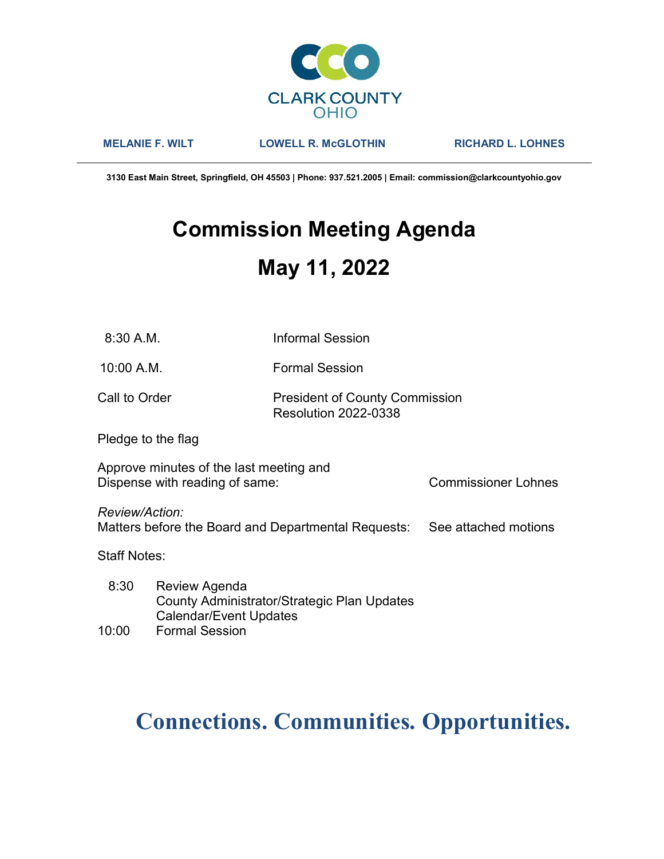

MELANIE F. WILT LOWELL R. McGLOTHIN RICHARD L. LOHNES

3130 East Main Street, Springfield, OH 45503 | Phone: 937.521.2005 | Email: commission@clarkcountyohio.gov

# Commission Meeting Agenda May 11, 2022

10:00 A.M. Formal Session

# Call to Order **President of County Commission** Resolution 2022-0338

Pledge to the flag

Approve minutes of the last meeting and Dispense with reading of same: Commissioner Lohnes

Review/Action:

Matters before the Board and Departmental Requests: See attached motions

Staff Notes:

 8:30 Review Agenda County Administrator/Strategic Plan Updates Calendar/Event Updates 10:00 Formal Session

# Connections. Communities. Opportunities.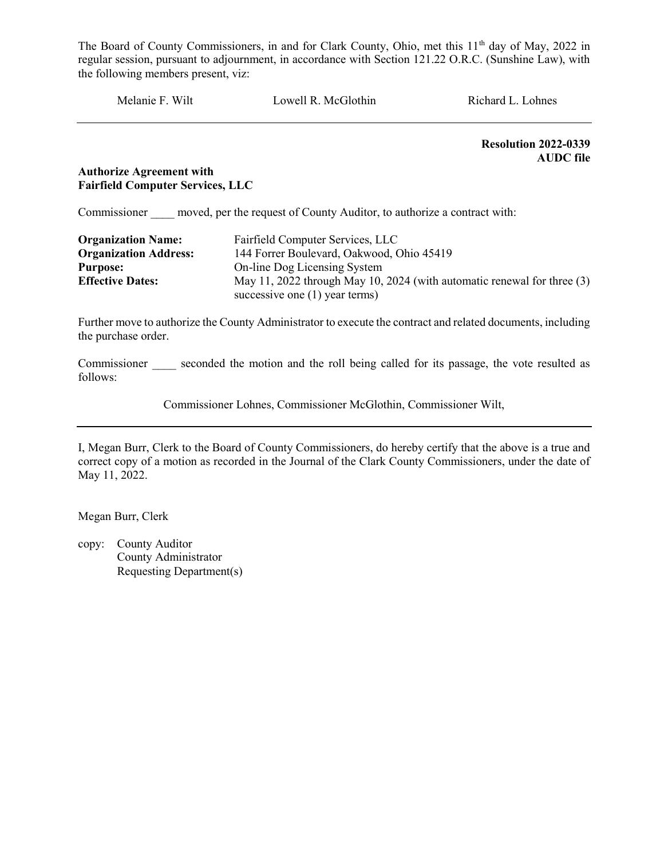Melanie F. Wilt Lowell R. McGlothin Richard L. Lohnes

Resolution 2022-0339 AUDC file

## Authorize Agreement with Fairfield Computer Services, LLC

Commissioner moved, per the request of County Auditor, to authorize a contract with:

| <b>Organization Name:</b>    | Fairfield Computer Services, LLC                                            |  |
|------------------------------|-----------------------------------------------------------------------------|--|
| <b>Organization Address:</b> | 144 Forrer Boulevard, Oakwood, Ohio 45419                                   |  |
| <b>Purpose:</b>              | On-line Dog Licensing System                                                |  |
| <b>Effective Dates:</b>      | May 11, 2022 through May 10, 2024 (with automatic renewal for three $(3)$ ) |  |
|                              | successive one $(1)$ year terms)                                            |  |

Further move to authorize the County Administrator to execute the contract and related documents, including the purchase order.

Commissioner seconded the motion and the roll being called for its passage, the vote resulted as follows:

Commissioner Lohnes, Commissioner McGlothin, Commissioner Wilt,

I, Megan Burr, Clerk to the Board of County Commissioners, do hereby certify that the above is a true and correct copy of a motion as recorded in the Journal of the Clark County Commissioners, under the date of May 11, 2022.

Megan Burr, Clerk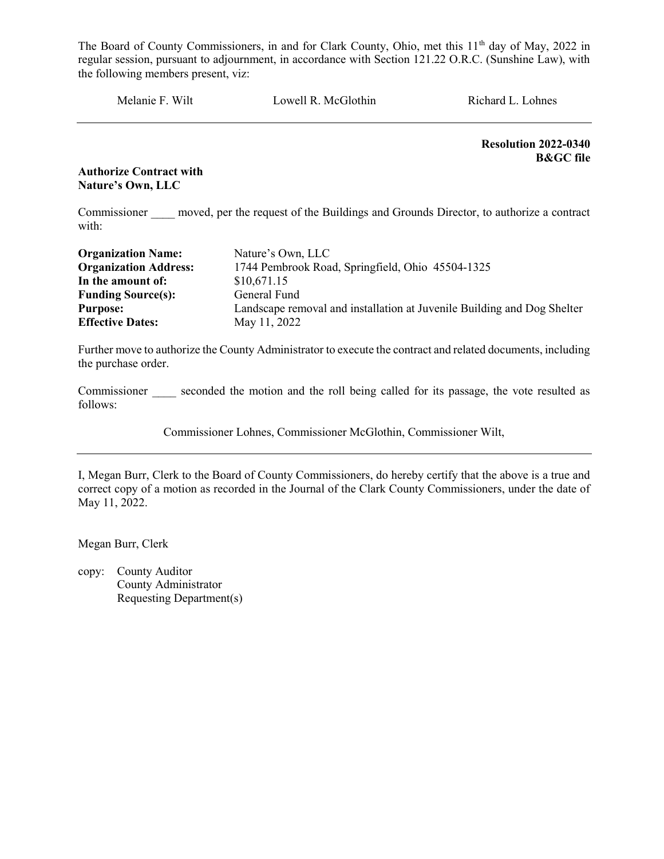Melanie F. Wilt Lowell R. McGlothin Richard L. Lohnes

Resolution 2022-0340 B&GC file

#### Authorize Contract with Nature's Own, LLC

Commissioner moved, per the request of the Buildings and Grounds Director, to authorize a contract with:

| <b>Organization Name:</b>    | Nature's Own, LLC                                                       |
|------------------------------|-------------------------------------------------------------------------|
| <b>Organization Address:</b> | 1744 Pembrook Road, Springfield, Ohio 45504-1325                        |
| In the amount of:            | \$10,671.15                                                             |
| <b>Funding Source(s):</b>    | General Fund                                                            |
| <b>Purpose:</b>              | Landscape removal and installation at Juvenile Building and Dog Shelter |
| <b>Effective Dates:</b>      | May 11, 2022                                                            |

Further move to authorize the County Administrator to execute the contract and related documents, including the purchase order.

Commissioner seconded the motion and the roll being called for its passage, the vote resulted as follows:

Commissioner Lohnes, Commissioner McGlothin, Commissioner Wilt,

I, Megan Burr, Clerk to the Board of County Commissioners, do hereby certify that the above is a true and correct copy of a motion as recorded in the Journal of the Clark County Commissioners, under the date of May 11, 2022.

Megan Burr, Clerk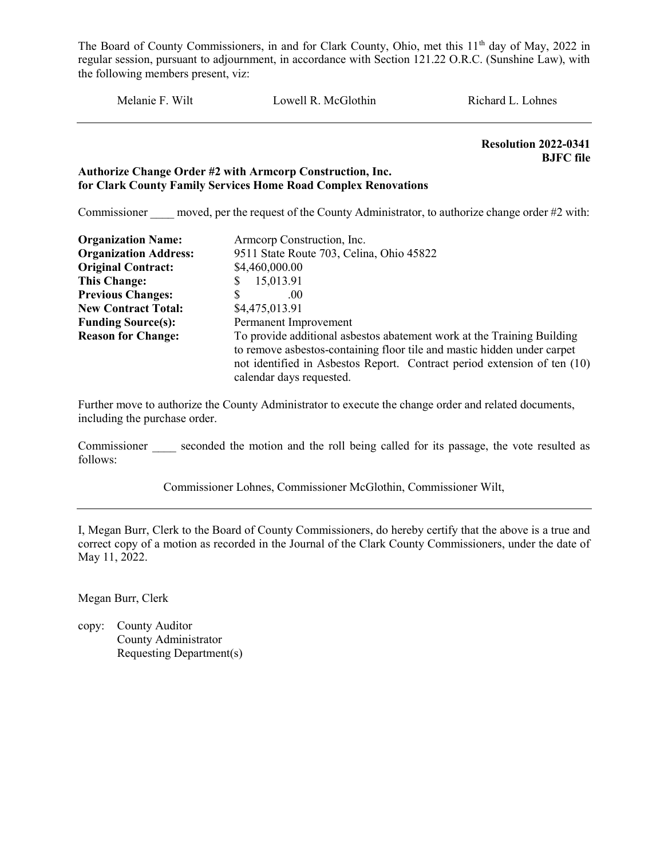Melanie F. Wilt Lowell R. McGlothin Richard L. Lohnes

 Resolution 2022-0341 BJFC file

#### Authorize Change Order #2 with Armcorp Construction, Inc. for Clark County Family Services Home Road Complex Renovations

Commissioner moved, per the request of the County Administrator, to authorize change order #2 with:

| <b>Organization Name:</b>    | Armcorp Construction, Inc.                                                                                                                                                                                                                                |
|------------------------------|-----------------------------------------------------------------------------------------------------------------------------------------------------------------------------------------------------------------------------------------------------------|
| <b>Organization Address:</b> | 9511 State Route 703, Celina, Ohio 45822                                                                                                                                                                                                                  |
| <b>Original Contract:</b>    | \$4,460,000.00                                                                                                                                                                                                                                            |
| This Change:                 | 15,013.91                                                                                                                                                                                                                                                 |
| <b>Previous Changes:</b>     | S<br>.00                                                                                                                                                                                                                                                  |
| <b>New Contract Total:</b>   | \$4,475,013.91                                                                                                                                                                                                                                            |
| <b>Funding Source(s):</b>    | Permanent Improvement                                                                                                                                                                                                                                     |
| <b>Reason for Change:</b>    | To provide additional asbestos abatement work at the Training Building<br>to remove asbestos-containing floor tile and mastic hidden under carpet<br>not identified in Asbestos Report. Contract period extension of ten (10)<br>calendar days requested. |

Further move to authorize the County Administrator to execute the change order and related documents, including the purchase order.

Commissioner seconded the motion and the roll being called for its passage, the vote resulted as follows:

Commissioner Lohnes, Commissioner McGlothin, Commissioner Wilt,

I, Megan Burr, Clerk to the Board of County Commissioners, do hereby certify that the above is a true and correct copy of a motion as recorded in the Journal of the Clark County Commissioners, under the date of May 11, 2022.

Megan Burr, Clerk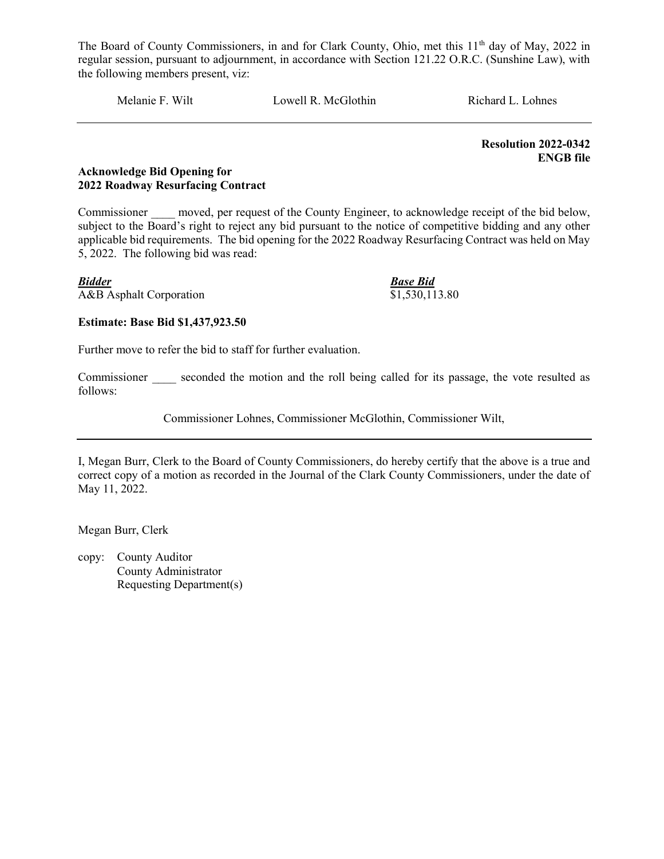Melanie F. Wilt Lowell R. McGlothin Richard L. Lohnes

 Resolution 2022-0342 ENGB file

#### Acknowledge Bid Opening for 2022 Roadway Resurfacing Contract

Commissioner moved, per request of the County Engineer, to acknowledge receipt of the bid below, subject to the Board's right to reject any bid pursuant to the notice of competitive bidding and any other applicable bid requirements. The bid opening for the 2022 Roadway Resurfacing Contract was held on May 5, 2022. The following bid was read:

**Bidder**<br>A&B Asphalt Corporation **Base Bid**<br>\$1,530,113.80  $\overline{\text{A&B}}$  Asphalt Corporation

# Estimate: Base Bid \$1,437,923.50

Further move to refer the bid to staff for further evaluation.

Commissioner seconded the motion and the roll being called for its passage, the vote resulted as follows:

Commissioner Lohnes, Commissioner McGlothin, Commissioner Wilt,

I, Megan Burr, Clerk to the Board of County Commissioners, do hereby certify that the above is a true and correct copy of a motion as recorded in the Journal of the Clark County Commissioners, under the date of May 11, 2022.

Megan Burr, Clerk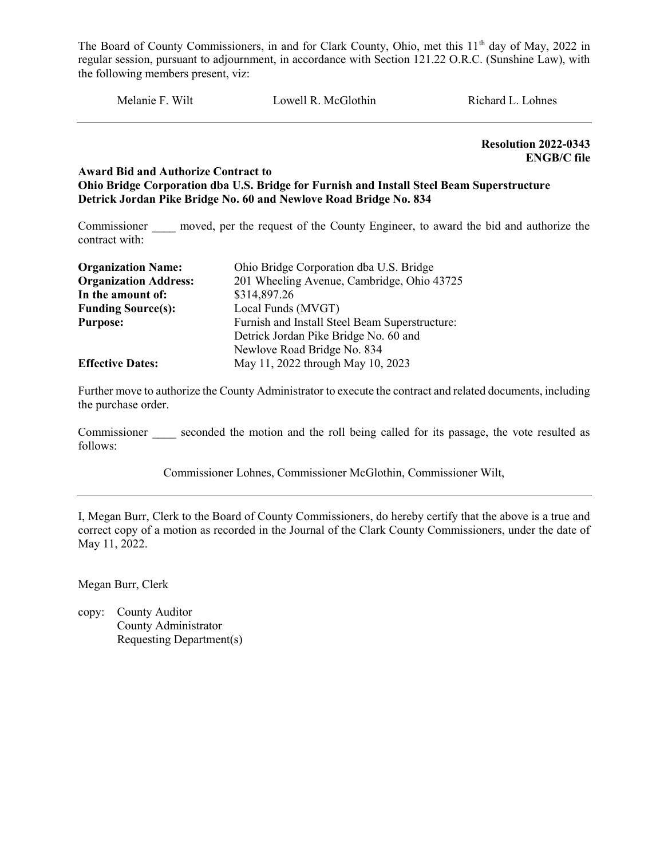Melanie F. Wilt Lowell R. McGlothin Richard L. Lohnes

Resolution 2022-0343 ENGB/C file

#### Award Bid and Authorize Contract to Ohio Bridge Corporation dba U.S. Bridge for Furnish and Install Steel Beam Superstructure Detrick Jordan Pike Bridge No. 60 and Newlove Road Bridge No. 834

Commissioner moved, per the request of the County Engineer, to award the bid and authorize the contract with:

| <b>Organization Name:</b>    | Ohio Bridge Corporation dba U.S. Bridge        |  |
|------------------------------|------------------------------------------------|--|
| <b>Organization Address:</b> | 201 Wheeling Avenue, Cambridge, Ohio 43725     |  |
| In the amount of:            | \$314,897.26                                   |  |
| <b>Funding Source(s):</b>    | Local Funds (MVGT)                             |  |
| <b>Purpose:</b>              | Furnish and Install Steel Beam Superstructure: |  |
|                              | Detrick Jordan Pike Bridge No. 60 and          |  |
|                              | Newlove Road Bridge No. 834                    |  |
| <b>Effective Dates:</b>      | May 11, 2022 through May 10, 2023              |  |

Further move to authorize the County Administrator to execute the contract and related documents, including the purchase order.

Commissioner seconded the motion and the roll being called for its passage, the vote resulted as follows:

Commissioner Lohnes, Commissioner McGlothin, Commissioner Wilt,

I, Megan Burr, Clerk to the Board of County Commissioners, do hereby certify that the above is a true and correct copy of a motion as recorded in the Journal of the Clark County Commissioners, under the date of May 11, 2022.

Megan Burr, Clerk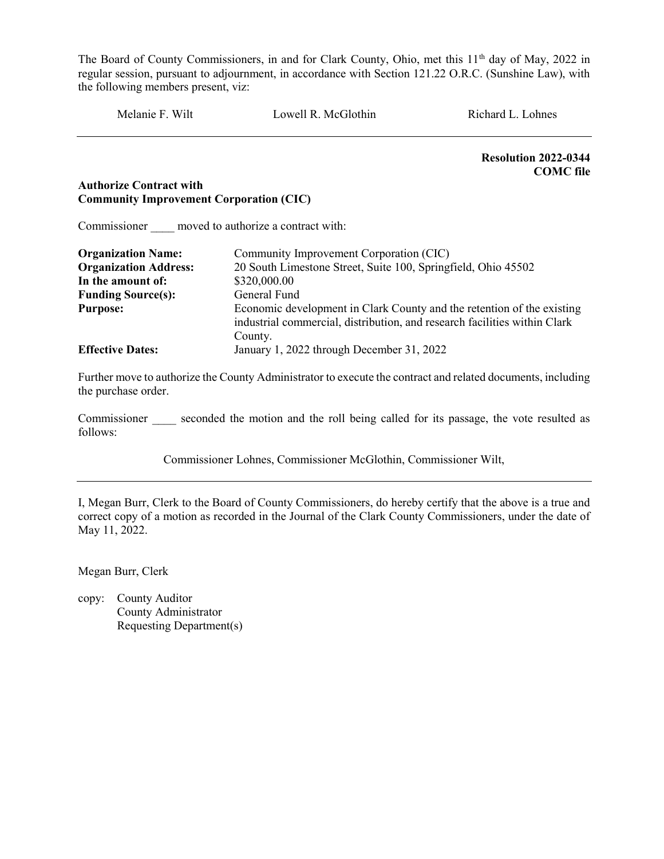Melanie F. Wilt Cowell R. McGlothin Richard L. Lohnes

Resolution 2022-0344 COMC file

## Authorize Contract with Community Improvement Corporation (CIC)

Commissioner \_\_\_\_ moved to authorize a contract with:

| <b>Organization Name:</b>    | Community Improvement Corporation (CIC)                                                                                                                        |  |  |
|------------------------------|----------------------------------------------------------------------------------------------------------------------------------------------------------------|--|--|
| <b>Organization Address:</b> | 20 South Limestone Street, Suite 100, Springfield, Ohio 45502                                                                                                  |  |  |
| In the amount of:            | \$320,000.00                                                                                                                                                   |  |  |
| <b>Funding Source(s):</b>    | General Fund                                                                                                                                                   |  |  |
| <b>Purpose:</b>              | Economic development in Clark County and the retention of the existing<br>industrial commercial, distribution, and research facilities within Clark<br>County. |  |  |
| <b>Effective Dates:</b>      | January 1, 2022 through December 31, 2022                                                                                                                      |  |  |

Further move to authorize the County Administrator to execute the contract and related documents, including the purchase order.

Commissioner seconded the motion and the roll being called for its passage, the vote resulted as follows:

Commissioner Lohnes, Commissioner McGlothin, Commissioner Wilt,

I, Megan Burr, Clerk to the Board of County Commissioners, do hereby certify that the above is a true and correct copy of a motion as recorded in the Journal of the Clark County Commissioners, under the date of May 11, 2022.

Megan Burr, Clerk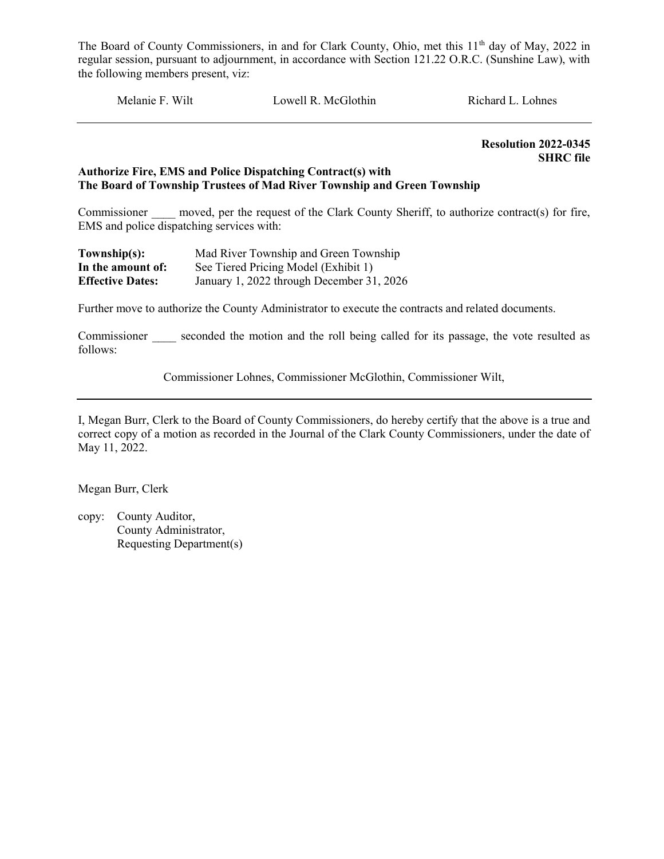Melanie F. Wilt Lowell R. McGlothin Richard L. Lohnes

 Resolution 2022-0345 SHRC file

#### Authorize Fire, EMS and Police Dispatching Contract(s) with The Board of Township Trustees of Mad River Township and Green Township

Commissioner moved, per the request of the Clark County Sheriff, to authorize contract(s) for fire, EMS and police dispatching services with:

| Township(s):            | Mad River Township and Green Township     |
|-------------------------|-------------------------------------------|
| In the amount of:       | See Tiered Pricing Model (Exhibit 1)      |
| <b>Effective Dates:</b> | January 1, 2022 through December 31, 2026 |

Further move to authorize the County Administrator to execute the contracts and related documents.

Commissioner seconded the motion and the roll being called for its passage, the vote resulted as follows:

Commissioner Lohnes, Commissioner McGlothin, Commissioner Wilt,

I, Megan Burr, Clerk to the Board of County Commissioners, do hereby certify that the above is a true and correct copy of a motion as recorded in the Journal of the Clark County Commissioners, under the date of May 11, 2022.

Megan Burr, Clerk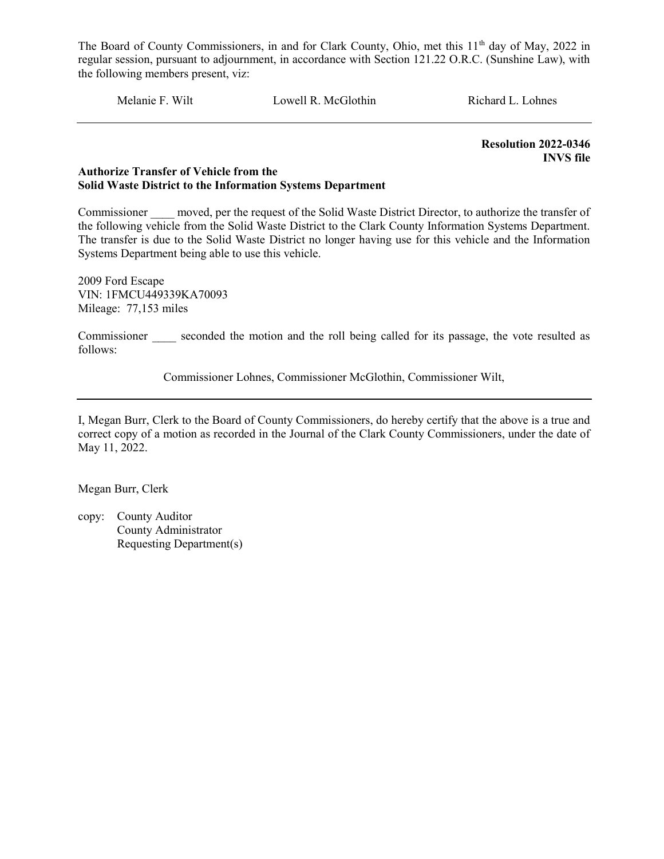Melanie F. Wilt Lowell R. McGlothin Richard L. Lohnes

Resolution 2022-0346 INVS file

#### Authorize Transfer of Vehicle from the Solid Waste District to the Information Systems Department

Commissioner moved, per the request of the Solid Waste District Director, to authorize the transfer of the following vehicle from the Solid Waste District to the Clark County Information Systems Department. The transfer is due to the Solid Waste District no longer having use for this vehicle and the Information Systems Department being able to use this vehicle.

2009 Ford Escape VIN: 1FMCU449339KA70093 Mileage: 77,153 miles

Commissioner seconded the motion and the roll being called for its passage, the vote resulted as follows:

Commissioner Lohnes, Commissioner McGlothin, Commissioner Wilt,

I, Megan Burr, Clerk to the Board of County Commissioners, do hereby certify that the above is a true and correct copy of a motion as recorded in the Journal of the Clark County Commissioners, under the date of May 11, 2022.

Megan Burr, Clerk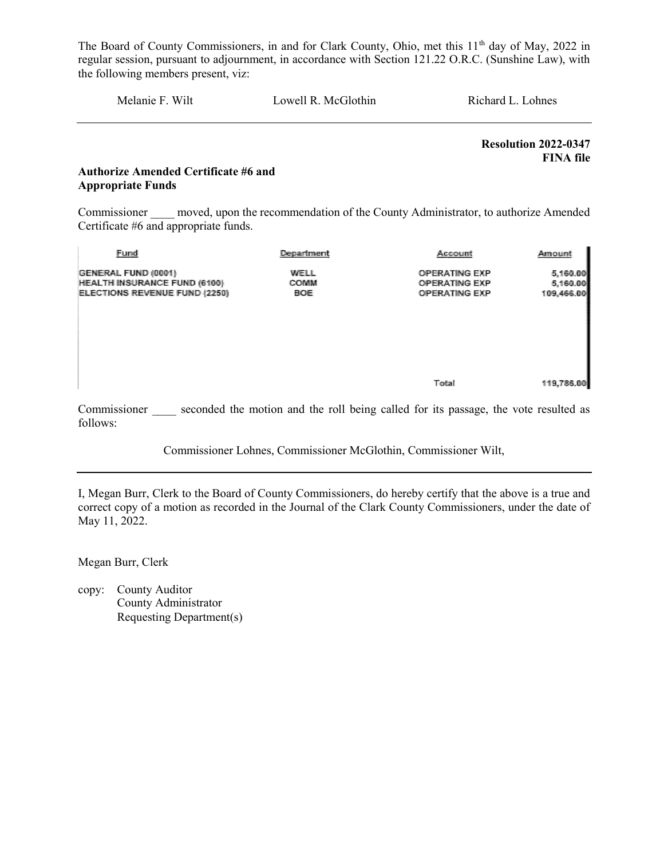Melanie F. Wilt Lowell R. McGlothin Richard L. Lohnes

Resolution 2022-0347 FINA file

# Authorize Amended Certificate #6 and Appropriate Funds

Commissioner moved, upon the recommendation of the County Administrator, to authorize Amended Certificate #6 and appropriate funds.

| Fund                                                                                        | Department                 | Account                                                              | Amount                             |
|---------------------------------------------------------------------------------------------|----------------------------|----------------------------------------------------------------------|------------------------------------|
| GENERAL FUND (0001)<br><b>HEALTH INSURANCE FUND (6100)</b><br>ELECTIONS REVENUE FUND (2250) | WELL<br><b>COMM</b><br>BOE | <b>OPERATING EXP</b><br><b>OPERATING EXP</b><br><b>OPERATING EXP</b> | 5,160.00<br>5,160.00<br>109,466.00 |
|                                                                                             |                            | Total                                                                | 119,786.00                         |

Commissioner seconded the motion and the roll being called for its passage, the vote resulted as follows:

Commissioner Lohnes, Commissioner McGlothin, Commissioner Wilt,

I, Megan Burr, Clerk to the Board of County Commissioners, do hereby certify that the above is a true and correct copy of a motion as recorded in the Journal of the Clark County Commissioners, under the date of May 11, 2022.

Megan Burr, Clerk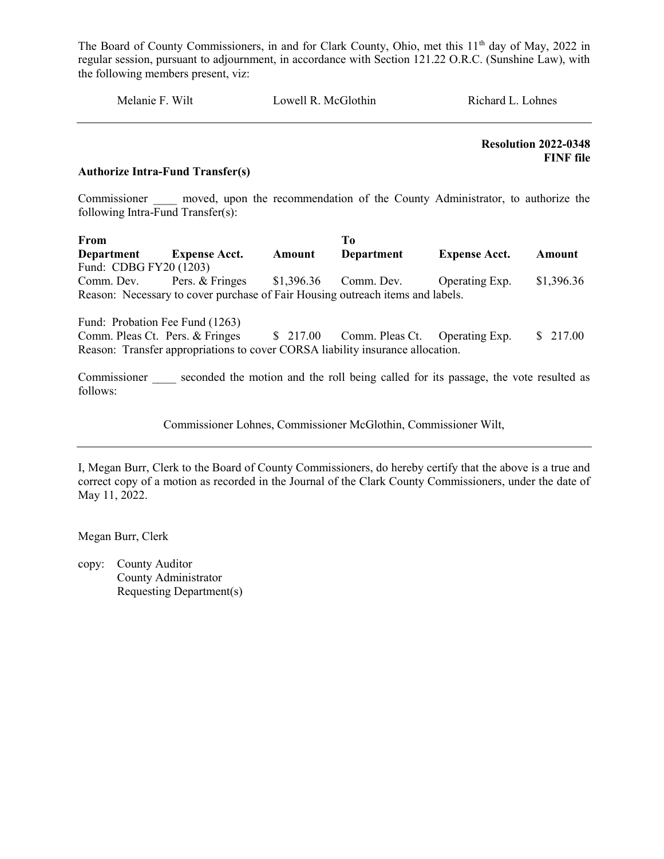Melanie F. Wilt Lowell R. McGlothin Richard L. Lohnes

 Resolution 2022-0348 FINF file

#### Authorize Intra-Fund Transfer(s)

Commissioner and moved, upon the recommendation of the County Administrator, to authorize the following Intra-Fund Transfer(s):

From To Department Expense Acct. Amount Department Expense Acct. Amount Fund: CDBG FY20 (1203) Comm. Dev. Pers. & Fringes \$1,396.36 Comm. Dev. Operating Exp. \$1,396.36 Reason: Necessary to cover purchase of Fair Housing outreach items and labels.

Fund: Probation Fee Fund (1263) Comm. Pleas Ct. Pers. & Fringes \$ 217.00 Comm. Pleas Ct. Operating Exp. \$ 217.00 Reason: Transfer appropriations to cover CORSA liability insurance allocation.

Commissioner seconded the motion and the roll being called for its passage, the vote resulted as follows:

Commissioner Lohnes, Commissioner McGlothin, Commissioner Wilt,

I, Megan Burr, Clerk to the Board of County Commissioners, do hereby certify that the above is a true and correct copy of a motion as recorded in the Journal of the Clark County Commissioners, under the date of May 11, 2022.

Megan Burr, Clerk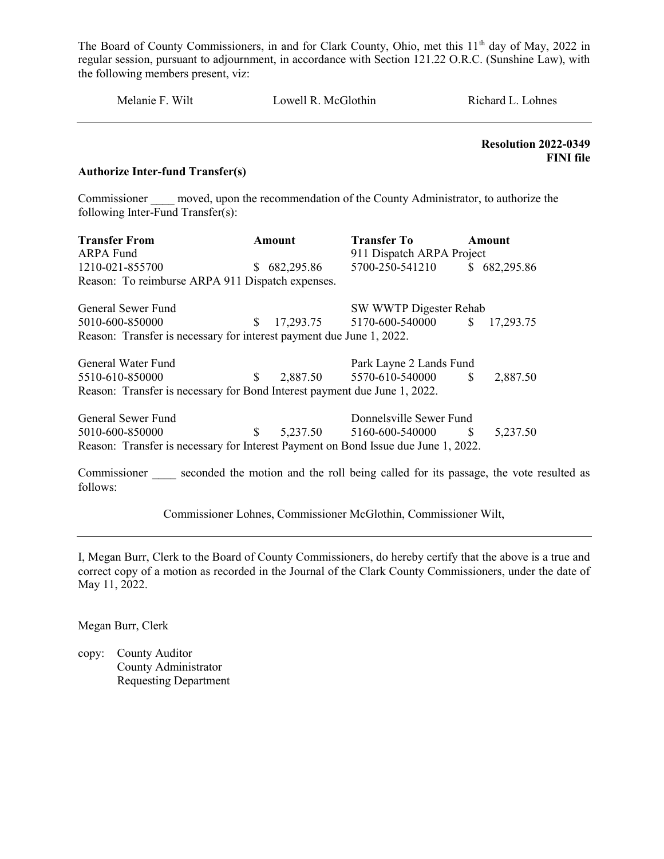| Melanie F. Wilt | Lowell R. McGlothin | Richard L. Lohnes |
|-----------------|---------------------|-------------------|
|                 |                     |                   |

 Resolution 2022-0349 FINI file

#### Authorize Inter-fund Transfer(s)

Commissioner moved, upon the recommendation of the County Administrator, to authorize the following Inter-Fund Transfer(s):

| <b>Transfer From</b>                                                               |               | Amount     | <b>Transfer To</b>        |               | Amount       |
|------------------------------------------------------------------------------------|---------------|------------|---------------------------|---------------|--------------|
| ARPA Fund                                                                          |               |            | 911 Dispatch ARPA Project |               |              |
| 1210-021-855700                                                                    | S.            | 682,295.86 | 5700-250-541210           |               | \$682,295.86 |
| Reason: To reimburse ARPA 911 Dispatch expenses.                                   |               |            |                           |               |              |
| General Sewer Fund                                                                 |               |            | SW WWTP Digester Rehab    |               |              |
| 5010-600-850000                                                                    | S.            |            | 17,293.75 5170-600-540000 | $\mathbb{S}$  | 17,293.75    |
| Reason: Transfer is necessary for interest payment due June 1, 2022.               |               |            |                           |               |              |
| General Water Fund                                                                 |               |            | Park Layne 2 Lands Fund   |               |              |
| 5510-610-850000                                                                    | <sup>\$</sup> | 2,887.50   | 5570-610-540000           | <sup>\$</sup> | 2,887.50     |
| Reason: Transfer is necessary for Bond Interest payment due June 1, 2022.          |               |            |                           |               |              |
| General Sewer Fund                                                                 |               |            | Donnelsville Sewer Fund   |               |              |
| 5010-600-850000                                                                    | \$.           | 5,237.50   | 5160-600-540000           | <sup>\$</sup> | 5,237.50     |
| Reason: Transfer is necessary for Interest Payment on Bond Issue due June 1, 2022. |               |            |                           |               |              |

Commissioner seconded the motion and the roll being called for its passage, the vote resulted as follows:

Commissioner Lohnes, Commissioner McGlothin, Commissioner Wilt,

I, Megan Burr, Clerk to the Board of County Commissioners, do hereby certify that the above is a true and correct copy of a motion as recorded in the Journal of the Clark County Commissioners, under the date of May 11, 2022.

Megan Burr, Clerk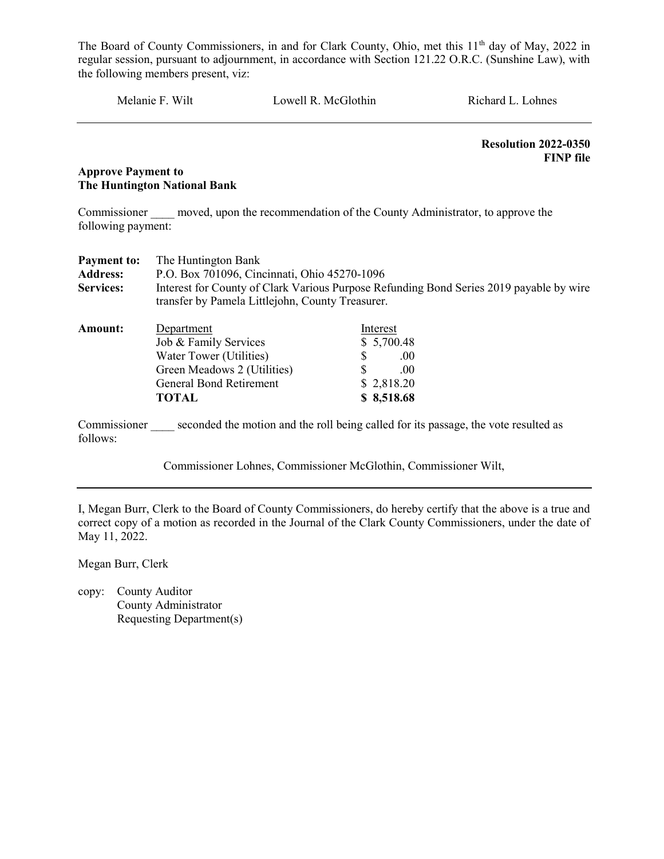Melanie F. Wilt Lowell R. McGlothin Richard L. Lohnes

 Resolution 2022-0350 FINP file

## Approve Payment to The Huntington National Bank

Commissioner moved, upon the recommendation of the County Administrator, to approve the following payment:

| <b>Payment to:</b>       | The Huntington Bank                                                                                                                         |                                                                                     |  |
|--------------------------|---------------------------------------------------------------------------------------------------------------------------------------------|-------------------------------------------------------------------------------------|--|
| <b>Address:</b>          | P.O. Box 701096, Cincinnati, Ohio 45270-1096                                                                                                |                                                                                     |  |
| <b>Services:</b>         | Interest for County of Clark Various Purpose Refunding Bond Series 2019 payable by wire<br>transfer by Pamela Littlejohn, County Treasurer. |                                                                                     |  |
| Amount:                  | Department                                                                                                                                  | Interest                                                                            |  |
|                          | Job & Family Services                                                                                                                       | \$5,700.48                                                                          |  |
|                          | Water Tower (Utilities)                                                                                                                     | .00.                                                                                |  |
|                          | Green Meadows 2 (Utilities)                                                                                                                 | .00                                                                                 |  |
|                          | <b>General Bond Retirement</b>                                                                                                              | \$2,818.20                                                                          |  |
|                          | TOTAL                                                                                                                                       | \$8,518.68                                                                          |  |
| Commissioner<br>follows: |                                                                                                                                             | seconded the motion and the roll being called for its passage, the vote resulted as |  |

Commissioner Lohnes, Commissioner McGlothin, Commissioner Wilt,

I, Megan Burr, Clerk to the Board of County Commissioners, do hereby certify that the above is a true and correct copy of a motion as recorded in the Journal of the Clark County Commissioners, under the date of May 11, 2022.

Megan Burr, Clerk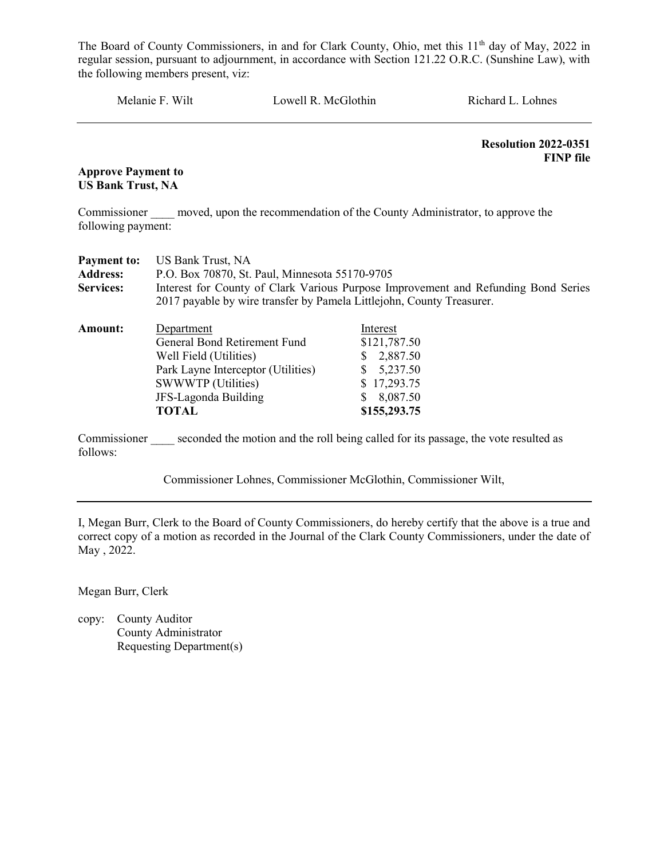Melanie F. Wilt Lowell R. McGlothin Richard L. Lohnes

 Resolution 2022-0351 FINP file

Approve Payment to US Bank Trust, NA

Commissioner moved, upon the recommendation of the County Administrator, to approve the following payment:

| <b>Payment to:</b> | <b>US Bank Trust, NA</b>                                                           |                                                                                     |  |  |  |
|--------------------|------------------------------------------------------------------------------------|-------------------------------------------------------------------------------------|--|--|--|
| <b>Address:</b>    | P.O. Box 70870, St. Paul, Minnesota 55170-9705                                     |                                                                                     |  |  |  |
| <b>Services:</b>   | Interest for County of Clark Various Purpose Improvement and Refunding Bond Series |                                                                                     |  |  |  |
|                    | 2017 payable by wire transfer by Pamela Littlejohn, County Treasurer.              |                                                                                     |  |  |  |
| <b>Amount:</b>     | Department                                                                         | Interest                                                                            |  |  |  |
|                    | General Bond Retirement Fund                                                       | \$121,787.50                                                                        |  |  |  |
|                    | Well Field (Utilities)                                                             | 2,887.50<br>S.                                                                      |  |  |  |
|                    | Park Layne Interceptor (Utilities)                                                 | 5,237.50<br>S.                                                                      |  |  |  |
|                    | <b>SWWWTP</b> (Utilities)                                                          | \$17,293.75                                                                         |  |  |  |
|                    | JFS-Lagonda Building                                                               | 8,087.50                                                                            |  |  |  |
|                    | <b>TOTAL</b>                                                                       | \$155,293.75                                                                        |  |  |  |
|                    |                                                                                    |                                                                                     |  |  |  |
| Commissioner       |                                                                                    | seconded the motion and the roll being called for its passage, the vote resulted as |  |  |  |

Commissioner \_\_\_\_ seconded the motion and the roll being called for its passage, the vote resulted as follows:

Commissioner Lohnes, Commissioner McGlothin, Commissioner Wilt,

I, Megan Burr, Clerk to the Board of County Commissioners, do hereby certify that the above is a true and correct copy of a motion as recorded in the Journal of the Clark County Commissioners, under the date of May , 2022.

Megan Burr, Clerk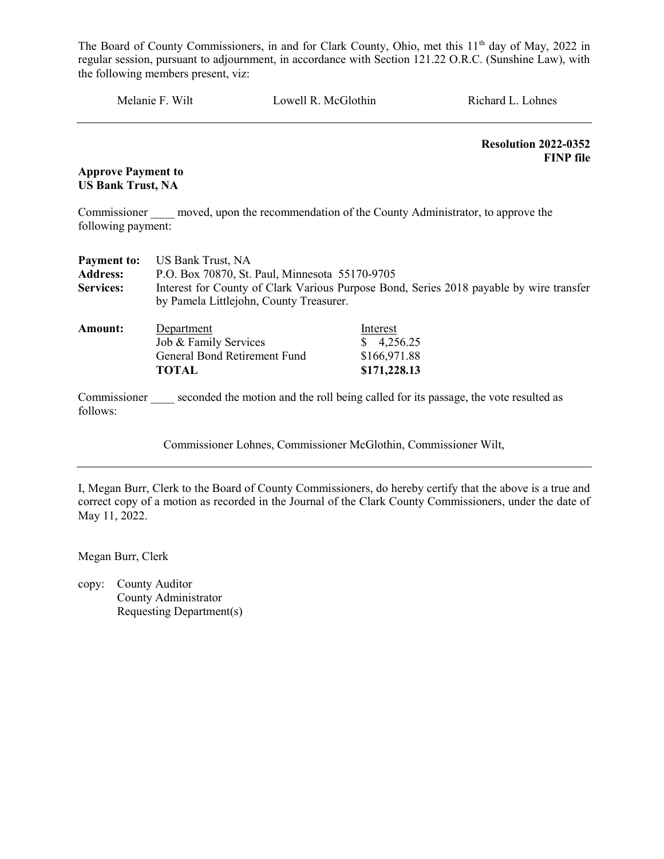Melanie F. Wilt Lowell R. McGlothin Richard L. Lohnes

 Resolution 2022-0352 FINP file

Approve Payment to US Bank Trust, NA

Commissioner moved, upon the recommendation of the County Administrator, to approve the following payment:

| <b>Payment to:</b>       | US Bank Trust, NA                                                                                                                  |                                                                                     |  |  |  |  |
|--------------------------|------------------------------------------------------------------------------------------------------------------------------------|-------------------------------------------------------------------------------------|--|--|--|--|
| <b>Address:</b>          | P.O. Box 70870, St. Paul, Minnesota 55170-9705                                                                                     |                                                                                     |  |  |  |  |
| <b>Services:</b>         | Interest for County of Clark Various Purpose Bond, Series 2018 payable by wire transfer<br>by Pamela Littlejohn, County Treasurer. |                                                                                     |  |  |  |  |
|                          |                                                                                                                                    |                                                                                     |  |  |  |  |
| <b>Amount:</b>           | Department                                                                                                                         | Interest                                                                            |  |  |  |  |
|                          | Job & Family Services                                                                                                              | $\frac{$}{9}$ 4,256.25                                                              |  |  |  |  |
|                          | General Bond Retirement Fund                                                                                                       | \$166,971.88                                                                        |  |  |  |  |
|                          | TOTAL                                                                                                                              | \$171,228.13                                                                        |  |  |  |  |
| Commissioner<br>follows: |                                                                                                                                    | seconded the motion and the roll being called for its passage, the vote resulted as |  |  |  |  |

Commissioner Lohnes, Commissioner McGlothin, Commissioner Wilt,

I, Megan Burr, Clerk to the Board of County Commissioners, do hereby certify that the above is a true and correct copy of a motion as recorded in the Journal of the Clark County Commissioners, under the date of May 11, 2022.

Megan Burr, Clerk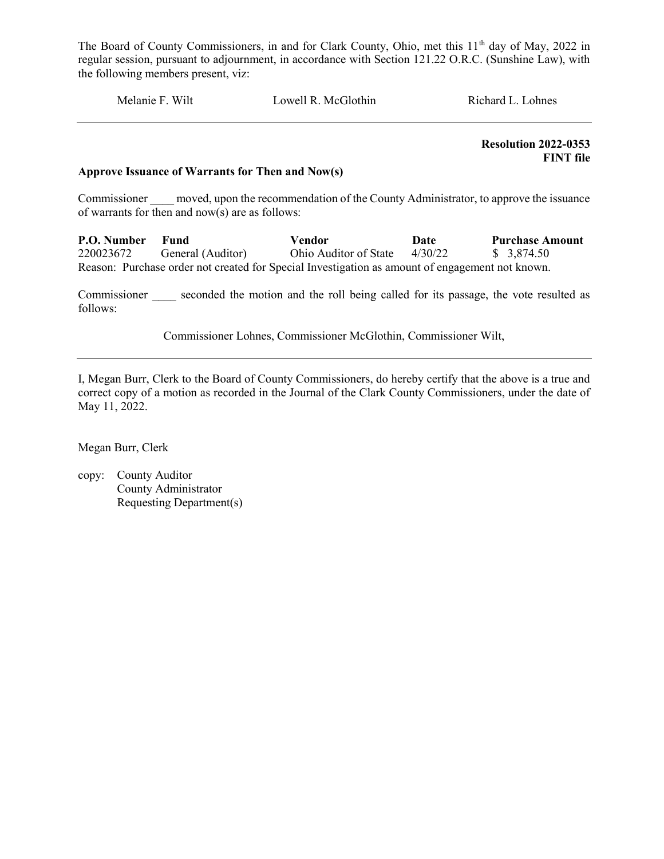Melanie F. Wilt Lowell R. McGlothin Richard L. Lohnes

 Resolution 2022-0353 FINT file

#### Approve Issuance of Warrants for Then and Now(s)

Commissioner moved, upon the recommendation of the County Administrator, to approve the issuance of warrants for then and now(s) are as follows:

P.O. Number Fund Vendor Date Purchase Amount 220023672 General (Auditor) Ohio Auditor of State 4/30/22 \$ 3,874.50 Reason: Purchase order not created for Special Investigation as amount of engagement not known.

Commissioner seconded the motion and the roll being called for its passage, the vote resulted as follows:

Commissioner Lohnes, Commissioner McGlothin, Commissioner Wilt,

I, Megan Burr, Clerk to the Board of County Commissioners, do hereby certify that the above is a true and correct copy of a motion as recorded in the Journal of the Clark County Commissioners, under the date of May 11, 2022.

Megan Burr, Clerk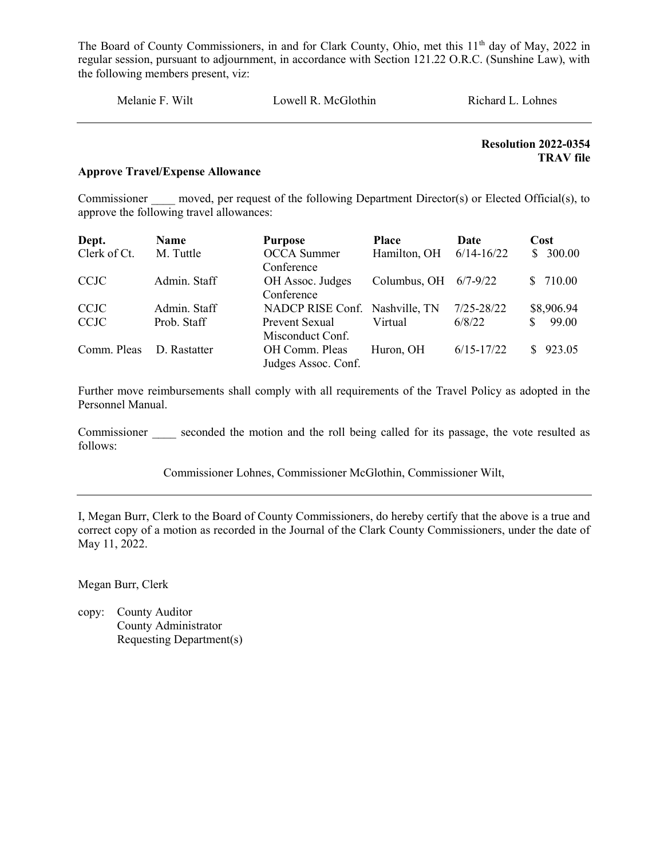| Melanie F. Wilt | Lowell R. McGlothin | Richard L. Lohnes |
|-----------------|---------------------|-------------------|
|                 |                     |                   |

# Resolution 2022-0354 TRAV file

# Approve Travel/Expense Allowance

Commissioner moved, per request of the following Department Director(s) or Elected Official(s), to approve the following travel allowances:

| Dept.        | Name         | <b>Purpose</b>                 | <b>Place</b>            | Date           | Cost         |
|--------------|--------------|--------------------------------|-------------------------|----------------|--------------|
| Clerk of Ct. | M. Tuttle    | <b>OCCA</b> Summer             | Hamilton, OH            | $6/14 - 16/22$ | \$300.00     |
|              |              | Conference                     |                         |                |              |
| <b>CCJC</b>  | Admin. Staff | OH Assoc. Judges               | Columbus, OH $6/7-9/22$ |                | 710.00<br>S. |
|              |              | Conference                     |                         |                |              |
| <b>CCJC</b>  | Admin. Staff | NADCP RISE Conf. Nashville, TN |                         | $7/25 - 28/22$ | \$8,906.94   |
| <b>CCJC</b>  | Prob. Staff  | Prevent Sexual                 | Virtual                 | 6/8/22         | 99.00<br>S.  |
|              |              | Misconduct Conf.               |                         |                |              |
| Comm. Pleas  | D. Rastatter | OH Comm. Pleas                 | Huron, OH               | $6/15 - 17/22$ | 923.05<br>S. |
|              |              | Judges Assoc. Conf.            |                         |                |              |

Further move reimbursements shall comply with all requirements of the Travel Policy as adopted in the Personnel Manual.

Commissioner seconded the motion and the roll being called for its passage, the vote resulted as follows:

Commissioner Lohnes, Commissioner McGlothin, Commissioner Wilt,

I, Megan Burr, Clerk to the Board of County Commissioners, do hereby certify that the above is a true and correct copy of a motion as recorded in the Journal of the Clark County Commissioners, under the date of May 11, 2022.

Megan Burr, Clerk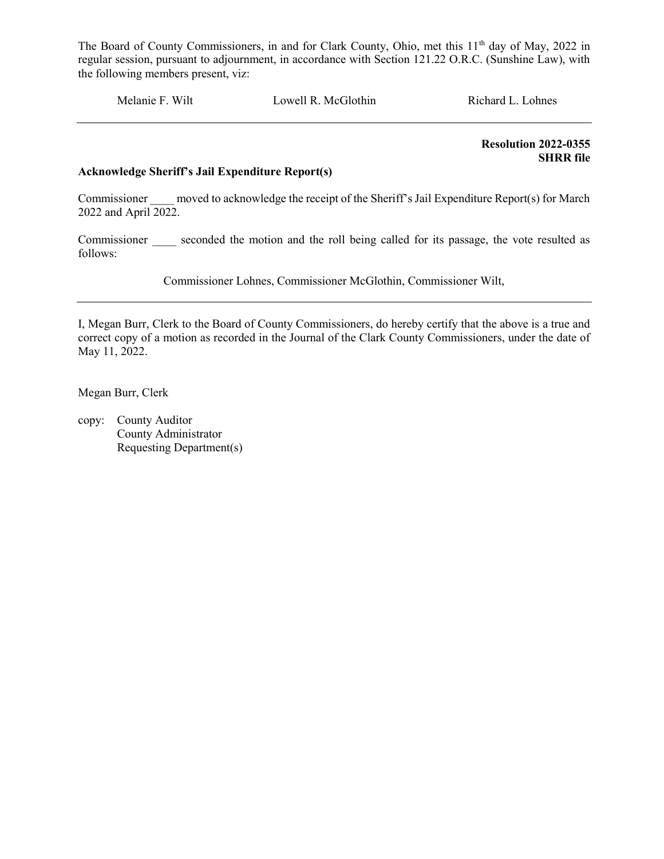Melanie F. Wilt Lowell R. McGlothin Richard L. Lohnes

 Resolution 2022-0355 SHRR file

# Acknowledge Sheriff's Jail Expenditure Report(s)

Commissioner moved to acknowledge the receipt of the Sheriff's Jail Expenditure Report(s) for March 2022 and April 2022.

Commissioner seconded the motion and the roll being called for its passage, the vote resulted as follows:

Commissioner Lohnes, Commissioner McGlothin, Commissioner Wilt,

I, Megan Burr, Clerk to the Board of County Commissioners, do hereby certify that the above is a true and correct copy of a motion as recorded in the Journal of the Clark County Commissioners, under the date of May 11, 2022.

Megan Burr, Clerk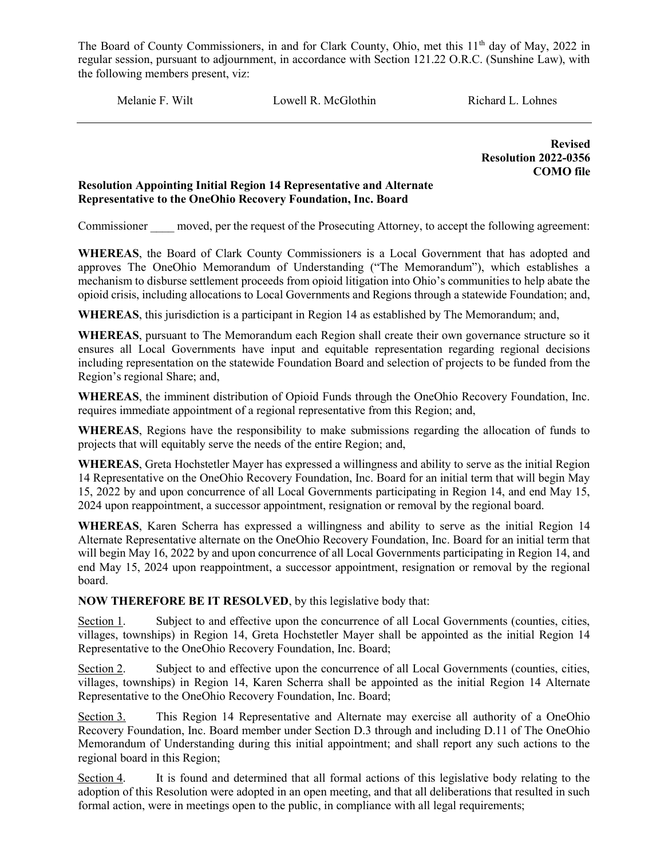Melanie F. Wilt **Lowell R. McGlothin** Richard L. Lohnes

Revised Resolution 2022-0356 COMO file

# Resolution Appointing Initial Region 14 Representative and Alternate Representative to the OneOhio Recovery Foundation, Inc. Board

Commissioner moved, per the request of the Prosecuting Attorney, to accept the following agreement:

WHEREAS, the Board of Clark County Commissioners is a Local Government that has adopted and approves The OneOhio Memorandum of Understanding ("The Memorandum"), which establishes a mechanism to disburse settlement proceeds from opioid litigation into Ohio's communities to help abate the opioid crisis, including allocations to Local Governments and Regions through a statewide Foundation; and,

WHEREAS, this jurisdiction is a participant in Region 14 as established by The Memorandum; and,

WHEREAS, pursuant to The Memorandum each Region shall create their own governance structure so it ensures all Local Governments have input and equitable representation regarding regional decisions including representation on the statewide Foundation Board and selection of projects to be funded from the Region's regional Share; and,

WHEREAS, the imminent distribution of Opioid Funds through the OneOhio Recovery Foundation, Inc. requires immediate appointment of a regional representative from this Region; and,

WHEREAS, Regions have the responsibility to make submissions regarding the allocation of funds to projects that will equitably serve the needs of the entire Region; and,

WHEREAS, Greta Hochstetler Mayer has expressed a willingness and ability to serve as the initial Region 14 Representative on the OneOhio Recovery Foundation, Inc. Board for an initial term that will begin May 15, 2022 by and upon concurrence of all Local Governments participating in Region 14, and end May 15, 2024 upon reappointment, a successor appointment, resignation or removal by the regional board.

WHEREAS, Karen Scherra has expressed a willingness and ability to serve as the initial Region 14 Alternate Representative alternate on the OneOhio Recovery Foundation, Inc. Board for an initial term that will begin May 16, 2022 by and upon concurrence of all Local Governments participating in Region 14, and end May 15, 2024 upon reappointment, a successor appointment, resignation or removal by the regional board.

NOW THEREFORE BE IT RESOLVED, by this legislative body that:

Section 1. Subject to and effective upon the concurrence of all Local Governments (counties, cities, villages, townships) in Region 14, Greta Hochstetler Mayer shall be appointed as the initial Region 14 Representative to the OneOhio Recovery Foundation, Inc. Board;

Section 2. Subject to and effective upon the concurrence of all Local Governments (counties, cities, villages, townships) in Region 14, Karen Scherra shall be appointed as the initial Region 14 Alternate Representative to the OneOhio Recovery Foundation, Inc. Board;

Section 3. This Region 14 Representative and Alternate may exercise all authority of a OneOhio Recovery Foundation, Inc. Board member under Section D.3 through and including D.11 of The OneOhio Memorandum of Understanding during this initial appointment; and shall report any such actions to the regional board in this Region;

Section 4. It is found and determined that all formal actions of this legislative body relating to the adoption of this Resolution were adopted in an open meeting, and that all deliberations that resulted in such formal action, were in meetings open to the public, in compliance with all legal requirements;